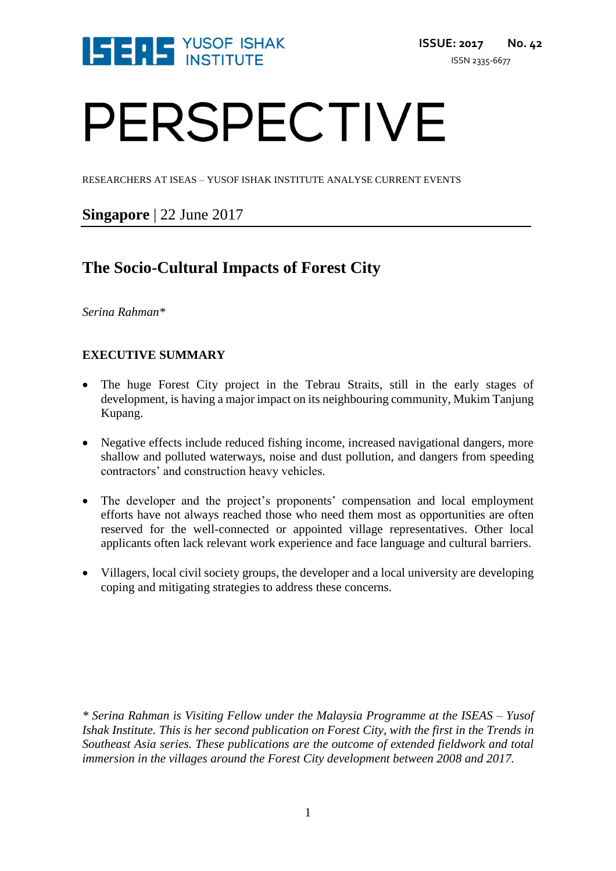

# PERSPECTIVE

RESEARCHERS AT ISEAS – YUSOF ISHAK INSTITUTE ANALYSE CURRENT EVENTS

# **Singapore** | 22 June 2017

# **The Socio-Cultural Impacts of Forest City**

*Serina Rahman\**

# **EXECUTIVE SUMMARY**

- The huge Forest City project in the Tebrau Straits, still in the early stages of development, is having a major impact on its neighbouring community, Mukim Tanjung Kupang.
- Negative effects include reduced fishing income, increased navigational dangers, more shallow and polluted waterways, noise and dust pollution, and dangers from speeding contractors' and construction heavy vehicles.
- The developer and the project's proponents' compensation and local employment efforts have not always reached those who need them most as opportunities are often reserved for the well-connected or appointed village representatives. Other local applicants often lack relevant work experience and face language and cultural barriers.
- Villagers, local civil society groups, the developer and a local university are developing coping and mitigating strategies to address these concerns.

*\* Serina Rahman is Visiting Fellow under the Malaysia Programme at the ISEAS – Yusof Ishak Institute. This is her second publication on Forest City, with the first in the Trends in Southeast Asia series. These publications are the outcome of extended fieldwork and total immersion in the villages around the Forest City development between 2008 and 2017.*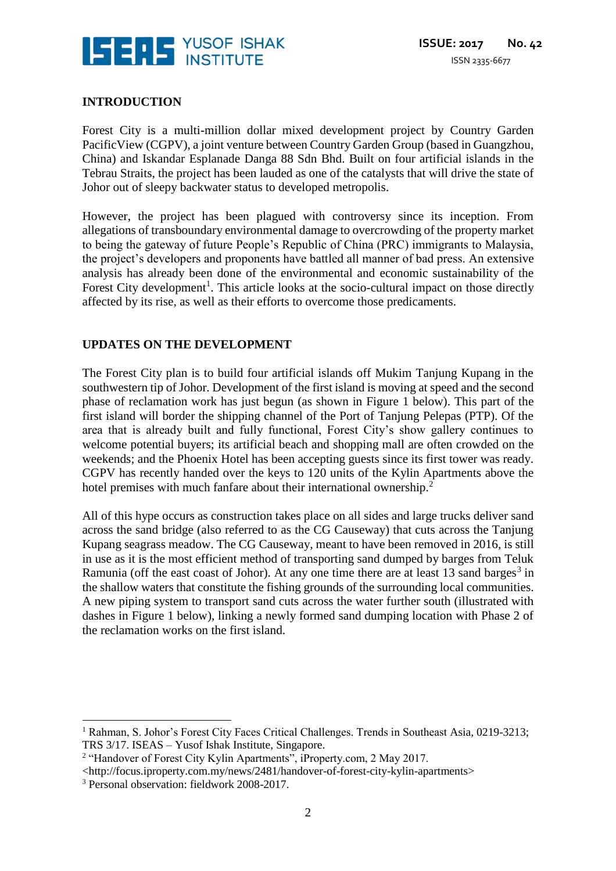

#### **INTRODUCTION**

Forest City is a multi-million dollar mixed development project by Country Garden PacificView (CGPV), a joint venture between Country Garden Group (based in Guangzhou, China) and Iskandar Esplanade Danga 88 Sdn Bhd. Built on four artificial islands in the Tebrau Straits, the project has been lauded as one of the catalysts that will drive the state of Johor out of sleepy backwater status to developed metropolis.

However, the project has been plagued with controversy since its inception. From allegations of transboundary environmental damage to overcrowding of the property market to being the gateway of future People's Republic of China (PRC) immigrants to Malaysia, the project's developers and proponents have battled all manner of bad press. An extensive analysis has already been done of the environmental and economic sustainability of the Forest City development<sup>1</sup>. This article looks at the socio-cultural impact on those directly affected by its rise, as well as their efforts to overcome those predicaments.

#### **UPDATES ON THE DEVELOPMENT**

The Forest City plan is to build four artificial islands off Mukim Tanjung Kupang in the southwestern tip of Johor. Development of the first island is moving at speed and the second phase of reclamation work has just begun (as shown in Figure 1 below). This part of the first island will border the shipping channel of the Port of Tanjung Pelepas (PTP). Of the area that is already built and fully functional, Forest City's show gallery continues to welcome potential buyers; its artificial beach and shopping mall are often crowded on the weekends; and the Phoenix Hotel has been accepting guests since its first tower was ready. CGPV has recently handed over the keys to 120 units of the Kylin Apartments above the hotel premises with much fanfare about their international ownership.<sup>2</sup>

All of this hype occurs as construction takes place on all sides and large trucks deliver sand across the sand bridge (also referred to as the CG Causeway) that cuts across the Tanjung Kupang seagrass meadow. The CG Causeway, meant to have been removed in 2016, is still in use as it is the most efficient method of transporting sand dumped by barges from Teluk Ramunia (off the east coast of Johor). At any one time there are at least 13 sand barges<sup>3</sup> in the shallow waters that constitute the fishing grounds of the surrounding local communities. A new piping system to transport sand cuts across the water further south (illustrated with dashes in Figure 1 below), linking a newly formed sand dumping location with Phase 2 of the reclamation works on the first island.

<u>.</u>

<sup>&</sup>lt;sup>1</sup> Rahman, S. Johor's Forest City Faces Critical Challenges. Trends in Southeast Asia, 0219-3213; TRS 3/17. ISEAS – Yusof Ishak Institute, Singapore.

<sup>&</sup>lt;sup>2</sup> "Handover of Forest City Kylin Apartments", iProperty.com, 2 May 2017.

<sup>&</sup>lt;http://focus.iproperty.com.my/news/2481/handover-of-forest-city-kylin-apartments>

<sup>3</sup> Personal observation: fieldwork 2008-2017.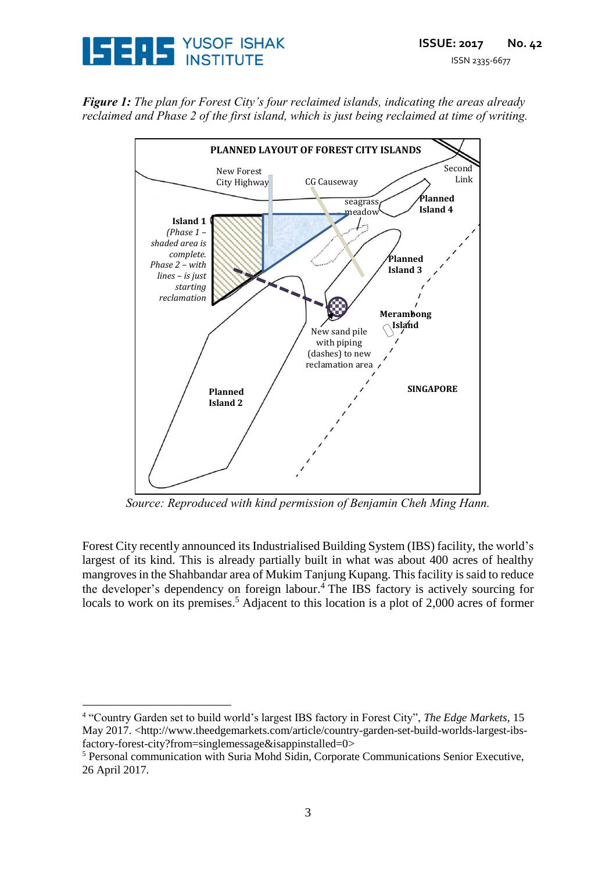

*Figure 1: The plan for Forest City's four reclaimed islands, indicating the areas already reclaimed and Phase 2 of the first island, which is just being reclaimed at time of writing.*



*Source: Reproduced with kind permission of Benjamin Cheh Ming Hann.*

Forest City recently announced its Industrialised Building System (IBS) facility, the world's largest of its kind. This is already partially built in what was about 400 acres of healthy mangroves in the Shahbandar area of Mukim Tanjung Kupang. This facility is said to reduce the developer's dependency on foreign labour. <sup>4</sup> The IBS factory is actively sourcing for locals to work on its premises.<sup>5</sup> Adjacent to this location is a plot of 2,000 acres of former

<u>.</u>

<sup>4</sup> "Country Garden set to build world's largest IBS factory in Forest City", *The Edge Markets*, 15 May 2017. <http://www.theedgemarkets.com/article/country-garden-set-build-worlds-largest-ibsfactory-forest-city?from=singlemessage&isappinstalled=0>

<sup>5</sup> Personal communication with Suria Mohd Sidin, Corporate Communications Senior Executive, 26 April 2017.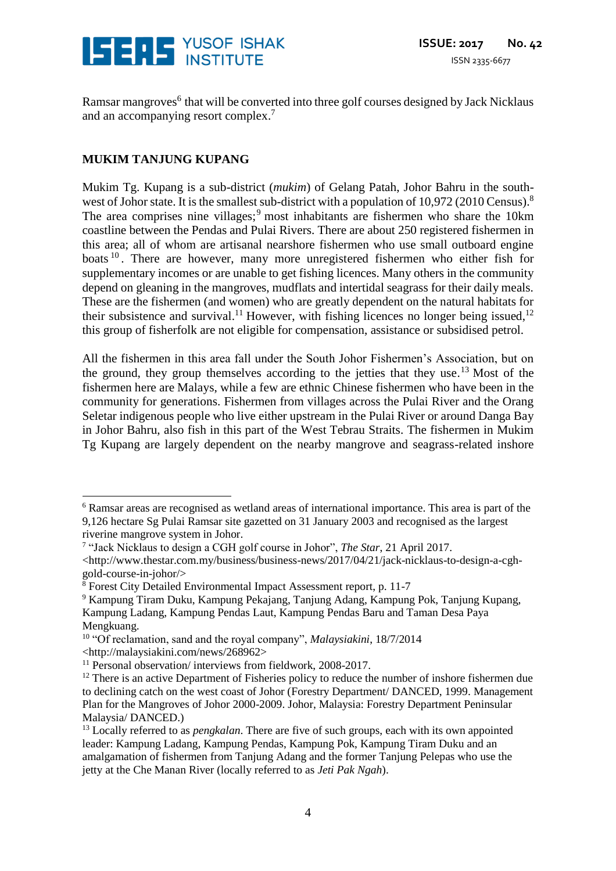

Ramsar mangroves<sup>6</sup> that will be converted into three golf courses designed by Jack Nicklaus and an accompanying resort complex. 7

### **MUKIM TANJUNG KUPANG**

 $\overline{a}$ 

Mukim Tg. Kupang is a sub-district (*mukim*) of Gelang Patah, Johor Bahru in the southwest of Johor state. It is the smallest sub-district with a population of 10,972 (2010 Census).<sup>8</sup> The area comprises nine villages;<sup>9</sup> most inhabitants are fishermen who share the 10km coastline between the Pendas and Pulai Rivers. There are about 250 registered fishermen in this area; all of whom are artisanal nearshore fishermen who use small outboard engine boats  $10$ . There are however, many more unregistered fishermen who either fish for supplementary incomes or are unable to get fishing licences. Many others in the community depend on gleaning in the mangroves, mudflats and intertidal seagrass for their daily meals. These are the fishermen (and women) who are greatly dependent on the natural habitats for their subsistence and survival.<sup>11</sup> However, with fishing licences no longer being issued,  $12$ this group of fisherfolk are not eligible for compensation, assistance or subsidised petrol.

All the fishermen in this area fall under the South Johor Fishermen's Association, but on the ground, they group themselves according to the jetties that they use.<sup>13</sup> Most of the fishermen here are Malays, while a few are ethnic Chinese fishermen who have been in the community for generations. Fishermen from villages across the Pulai River and the Orang Seletar indigenous people who live either upstream in the Pulai River or around Danga Bay in Johor Bahru, also fish in this part of the West Tebrau Straits. The fishermen in Mukim Tg Kupang are largely dependent on the nearby mangrove and seagrass-related inshore

<sup>6</sup> Ramsar areas are recognised as wetland areas of international importance. This area is part of the 9,126 hectare Sg Pulai Ramsar site gazetted on 31 January 2003 and recognised as the largest riverine mangrove system in Johor.

<sup>7</sup> "Jack Nicklaus to design a CGH golf course in Johor", *The Star*, 21 April 2017.

<sup>&</sup>lt;http://www.thestar.com.my/business/business-news/2017/04/21/jack-nicklaus-to-design-a-cghgold-course-in-johor/>

 $8$  Forest City Detailed Environmental Impact Assessment report, p. 11-7

<sup>9</sup> Kampung Tiram Duku, Kampung Pekajang, Tanjung Adang, Kampung Pok, Tanjung Kupang, Kampung Ladang, Kampung Pendas Laut, Kampung Pendas Baru and Taman Desa Paya Mengkuang.

<sup>10</sup> "Of reclamation, sand and the royal company", *Malaysiakini*, 18/7/2014 <http://malaysiakini.com/news/268962>

<sup>&</sup>lt;sup>11</sup> Personal observation/ interviews from fieldwork, 2008-2017.

<sup>&</sup>lt;sup>12</sup> There is an active Department of Fisheries policy to reduce the number of inshore fishermen due to declining catch on the west coast of Johor (Forestry Department/ DANCED, 1999. Management Plan for the Mangroves of Johor 2000-2009. Johor, Malaysia: Forestry Department Peninsular Malaysia/ DANCED.)

<sup>&</sup>lt;sup>13</sup> Locally referred to as *pengkalan*. There are five of such groups, each with its own appointed leader: Kampung Ladang, Kampung Pendas, Kampung Pok, Kampung Tiram Duku and an amalgamation of fishermen from Tanjung Adang and the former Tanjung Pelepas who use the jetty at the Che Manan River (locally referred to as *Jeti Pak Ngah*).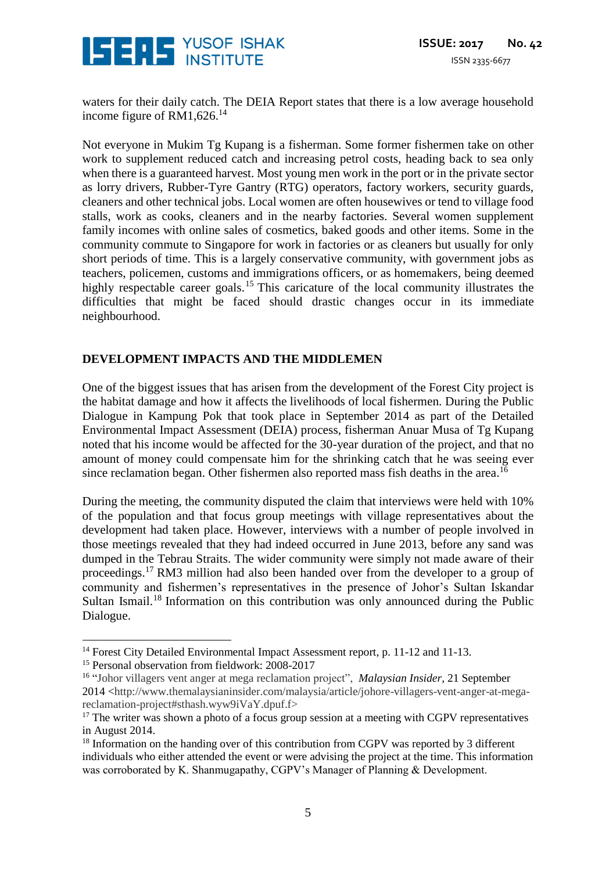

waters for their daily catch. The DEIA Report states that there is a low average household income figure of RM1,626.<sup>14</sup>

Not everyone in Mukim Tg Kupang is a fisherman. Some former fishermen take on other work to supplement reduced catch and increasing petrol costs, heading back to sea only when there is a guaranteed harvest. Most young men work in the port or in the private sector as lorry drivers, Rubber-Tyre Gantry (RTG) operators, factory workers, security guards, cleaners and other technical jobs. Local women are often housewives or tend to village food stalls, work as cooks, cleaners and in the nearby factories. Several women supplement family incomes with online sales of cosmetics, baked goods and other items. Some in the community commute to Singapore for work in factories or as cleaners but usually for only short periods of time. This is a largely conservative community, with government jobs as teachers, policemen, customs and immigrations officers, or as homemakers, being deemed highly respectable career goals.<sup>15</sup> This caricature of the local community illustrates the difficulties that might be faced should drastic changes occur in its immediate neighbourhood.

#### **DEVELOPMENT IMPACTS AND THE MIDDLEMEN**

One of the biggest issues that has arisen from the development of the Forest City project is the habitat damage and how it affects the livelihoods of local fishermen. During the Public Dialogue in Kampung Pok that took place in September 2014 as part of the Detailed Environmental Impact Assessment (DEIA) process, fisherman Anuar Musa of Tg Kupang noted that his income would be affected for the 30-year duration of the project, and that no amount of money could compensate him for the shrinking catch that he was seeing ever since reclamation began. Other fishermen also reported mass fish deaths in the area.<sup>16</sup>

During the meeting, the community disputed the claim that interviews were held with 10% of the population and that focus group meetings with village representatives about the development had taken place. However, interviews with a number of people involved in those meetings revealed that they had indeed occurred in June 2013, before any sand was dumped in the Tebrau Straits. The wider community were simply not made aware of their proceedings.<sup>17</sup> RM3 million had also been handed over from the developer to a group of community and fishermen's representatives in the presence of Johor's Sultan Iskandar Sultan Ismail.<sup>18</sup> Information on this contribution was only announced during the Public Dialogue.

 $\overline{a}$ 

<sup>&</sup>lt;sup>14</sup> Forest City Detailed Environmental Impact Assessment report, p. 11-12 and 11-13.

<sup>&</sup>lt;sup>15</sup> Personal observation from fieldwork: 2008-2017

<sup>&</sup>lt;sup>16</sup> "Johor villagers vent anger at mega reclamation project", *Malaysian Insider*, 21 September 2014 <http://www.themalaysianinsider.com/malaysia/article/johore-villagers-vent-anger-at-megareclamation-project#sthash.wyw9iVaY.dpuf.f>

<sup>&</sup>lt;sup>17</sup> The writer was shown a photo of a focus group session at a meeting with CGPV representatives in August 2014.

<sup>&</sup>lt;sup>18</sup> Information on the handing over of this contribution from CGPV was reported by 3 different individuals who either attended the event or were advising the project at the time. This information was corroborated by K. Shanmugapathy, CGPV's Manager of Planning & Development.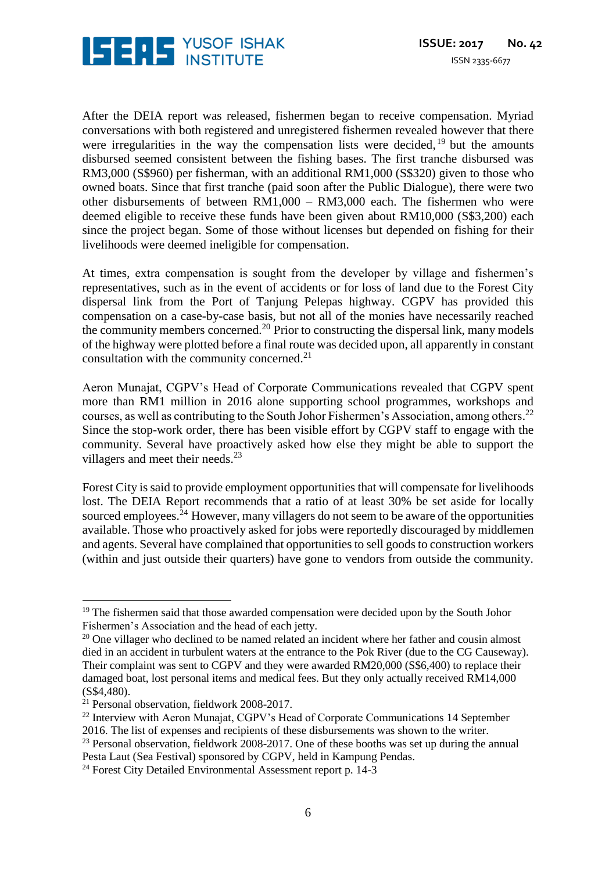

After the DEIA report was released, fishermen began to receive compensation. Myriad conversations with both registered and unregistered fishermen revealed however that there were irregularities in the way the compensation lists were decided, <sup>19</sup> but the amounts disbursed seemed consistent between the fishing bases. The first tranche disbursed was RM3,000 (S\$960) per fisherman, with an additional RM1,000 (S\$320) given to those who owned boats. Since that first tranche (paid soon after the Public Dialogue), there were two other disbursements of between RM1,000 – RM3,000 each. The fishermen who were deemed eligible to receive these funds have been given about RM10,000 (S\$3,200) each since the project began. Some of those without licenses but depended on fishing for their livelihoods were deemed ineligible for compensation.

At times, extra compensation is sought from the developer by village and fishermen's representatives, such as in the event of accidents or for loss of land due to the Forest City dispersal link from the Port of Tanjung Pelepas highway. CGPV has provided this compensation on a case-by-case basis, but not all of the monies have necessarily reached the community members concerned.<sup>20</sup> Prior to constructing the dispersal link, many models of the highway were plotted before a final route was decided upon, all apparently in constant consultation with the community concerned. 21

Aeron Munajat, CGPV's Head of Corporate Communications revealed that CGPV spent more than RM1 million in 2016 alone supporting school programmes, workshops and courses, as well as contributing to the South Johor Fishermen's Association, among others. 22 Since the stop-work order, there has been visible effort by CGPV staff to engage with the community. Several have proactively asked how else they might be able to support the villagers and meet their needs.<sup>23</sup>

Forest City is said to provide employment opportunities that will compensate for livelihoods lost. The DEIA Report recommends that a ratio of at least 30% be set aside for locally sourced employees.<sup>24</sup> However, many villagers do not seem to be aware of the opportunities available. Those who proactively asked for jobs were reportedly discouraged by middlemen and agents. Several have complained that opportunities to sell goods to construction workers (within and just outside their quarters) have gone to vendors from outside the community.

 $\overline{a}$ 

<sup>&</sup>lt;sup>19</sup> The fishermen said that those awarded compensation were decided upon by the South Johor Fishermen's Association and the head of each jetty.

 $20$  One villager who declined to be named related an incident where her father and cousin almost died in an accident in turbulent waters at the entrance to the Pok River (due to the CG Causeway). Their complaint was sent to CGPV and they were awarded RM20,000 (S\$6,400) to replace their damaged boat, lost personal items and medical fees. But they only actually received RM14,000 (S\$4,480).

<sup>21</sup> Personal observation, fieldwork 2008-2017.

<sup>&</sup>lt;sup>22</sup> Interview with Aeron Munajat, CGPV's Head of Corporate Communications 14 September 2016. The list of expenses and recipients of these disbursements was shown to the writer.

<sup>&</sup>lt;sup>23</sup> Personal observation, fieldwork 2008-2017. One of these booths was set up during the annual Pesta Laut (Sea Festival) sponsored by CGPV, held in Kampung Pendas.

<sup>&</sup>lt;sup>24</sup> Forest City Detailed Environmental Assessment report p. 14-3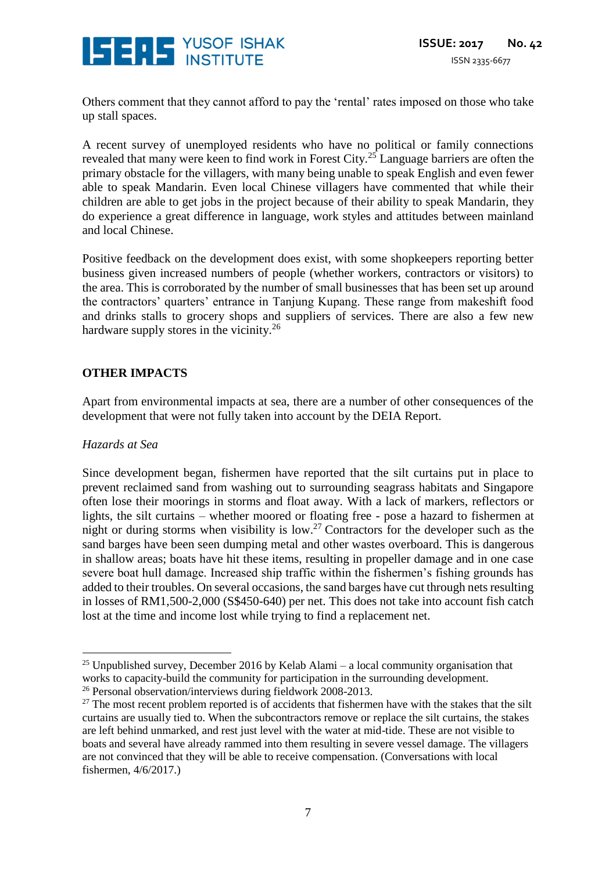

Others comment that they cannot afford to pay the 'rental' rates imposed on those who take up stall spaces.

A recent survey of unemployed residents who have no political or family connections revealed that many were keen to find work in Forest City. <sup>25</sup> Language barriers are often the primary obstacle for the villagers, with many being unable to speak English and even fewer able to speak Mandarin. Even local Chinese villagers have commented that while their children are able to get jobs in the project because of their ability to speak Mandarin, they do experience a great difference in language, work styles and attitudes between mainland and local Chinese.

Positive feedback on the development does exist, with some shopkeepers reporting better business given increased numbers of people (whether workers, contractors or visitors) to the area. This is corroborated by the number of small businesses that has been set up around the contractors' quarters' entrance in Tanjung Kupang. These range from makeshift food and drinks stalls to grocery shops and suppliers of services. There are also a few new hardware supply stores in the vicinity.<sup>26</sup>

#### **OTHER IMPACTS**

Apart from environmental impacts at sea, there are a number of other consequences of the development that were not fully taken into account by the DEIA Report.

#### *Hazards at Sea*

 $\overline{a}$ 

Since development began, fishermen have reported that the silt curtains put in place to prevent reclaimed sand from washing out to surrounding seagrass habitats and Singapore often lose their moorings in storms and float away. With a lack of markers, reflectors or lights, the silt curtains – whether moored or floating free - pose a hazard to fishermen at night or during storms when visibility is low. <sup>27</sup> Contractors for the developer such as the sand barges have been seen dumping metal and other wastes overboard. This is dangerous in shallow areas; boats have hit these items, resulting in propeller damage and in one case severe boat hull damage. Increased ship traffic within the fishermen's fishing grounds has added to their troubles. On several occasions, the sand barges have cut through nets resulting in losses of RM1,500-2,000 (S\$450-640) per net. This does not take into account fish catch lost at the time and income lost while trying to find a replacement net.

<sup>&</sup>lt;sup>25</sup> Unpublished survey, December 2016 by Kelab Alami – a local community organisation that works to capacity-build the community for participation in the surrounding development.

<sup>&</sup>lt;sup>26</sup> Personal observation/interviews during fieldwork 2008-2013.

 $27$  The most recent problem reported is of accidents that fishermen have with the stakes that the silt curtains are usually tied to. When the subcontractors remove or replace the silt curtains, the stakes are left behind unmarked, and rest just level with the water at mid-tide. These are not visible to boats and several have already rammed into them resulting in severe vessel damage. The villagers are not convinced that they will be able to receive compensation. (Conversations with local fishermen, 4/6/2017.)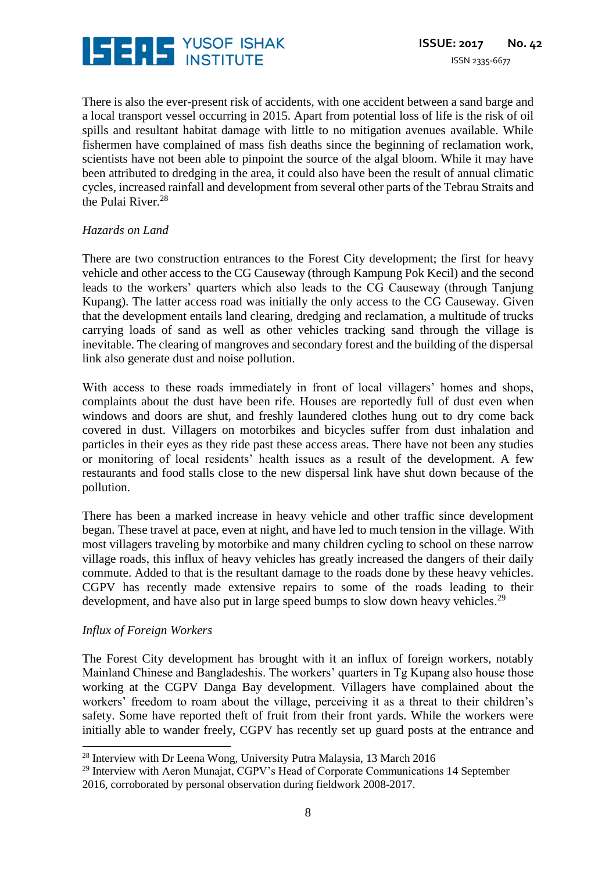

There is also the ever-present risk of accidents, with one accident between a sand barge and a local transport vessel occurring in 2015. Apart from potential loss of life is the risk of oil spills and resultant habitat damage with little to no mitigation avenues available. While fishermen have complained of mass fish deaths since the beginning of reclamation work, scientists have not been able to pinpoint the source of the algal bloom. While it may have been attributed to dredging in the area, it could also have been the result of annual climatic cycles, increased rainfall and development from several other parts of the Tebrau Straits and the Pulai River. 28

#### *Hazards on Land*

There are two construction entrances to the Forest City development; the first for heavy vehicle and other access to the CG Causeway (through Kampung Pok Kecil) and the second leads to the workers' quarters which also leads to the CG Causeway (through Tanjung Kupang). The latter access road was initially the only access to the CG Causeway. Given that the development entails land clearing, dredging and reclamation, a multitude of trucks carrying loads of sand as well as other vehicles tracking sand through the village is inevitable. The clearing of mangroves and secondary forest and the building of the dispersal link also generate dust and noise pollution.

With access to these roads immediately in front of local villagers' homes and shops, complaints about the dust have been rife. Houses are reportedly full of dust even when windows and doors are shut, and freshly laundered clothes hung out to dry come back covered in dust. Villagers on motorbikes and bicycles suffer from dust inhalation and particles in their eyes as they ride past these access areas. There have not been any studies or monitoring of local residents' health issues as a result of the development. A few restaurants and food stalls close to the new dispersal link have shut down because of the pollution.

There has been a marked increase in heavy vehicle and other traffic since development began. These travel at pace, even at night, and have led to much tension in the village. With most villagers traveling by motorbike and many children cycling to school on these narrow village roads, this influx of heavy vehicles has greatly increased the dangers of their daily commute. Added to that is the resultant damage to the roads done by these heavy vehicles. CGPV has recently made extensive repairs to some of the roads leading to their development, and have also put in large speed bumps to slow down heavy vehicles.<sup>29</sup>

#### *Influx of Foreign Workers*

<u>.</u>

The Forest City development has brought with it an influx of foreign workers, notably Mainland Chinese and Bangladeshis. The workers' quarters in Tg Kupang also house those working at the CGPV Danga Bay development. Villagers have complained about the workers' freedom to roam about the village, perceiving it as a threat to their children's safety. Some have reported theft of fruit from their front yards. While the workers were initially able to wander freely, CGPV has recently set up guard posts at the entrance and

<sup>&</sup>lt;sup>28</sup> Interview with Dr Leena Wong, University Putra Malaysia, 13 March 2016

<sup>&</sup>lt;sup>29</sup> Interview with Aeron Munajat, CGPV's Head of Corporate Communications 14 September 2016, corroborated by personal observation during fieldwork 2008-2017.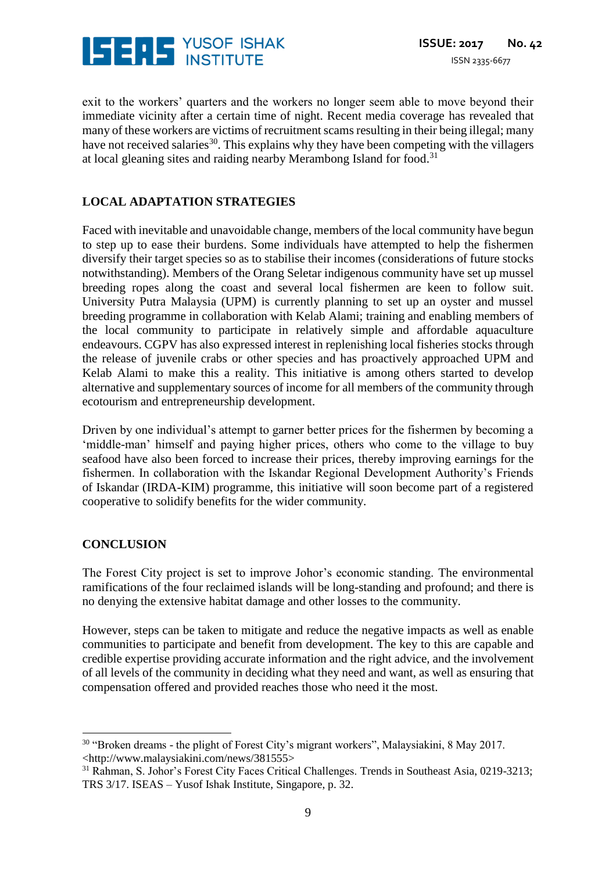

exit to the workers' quarters and the workers no longer seem able to move beyond their immediate vicinity after a certain time of night. Recent media coverage has revealed that many of these workers are victims of recruitment scams resulting in their being illegal; many have not received salaries<sup>30</sup>. This explains why they have been competing with the villagers at local gleaning sites and raiding nearby Merambong Island for food.<sup>31</sup>

# **LOCAL ADAPTATION STRATEGIES**

Faced with inevitable and unavoidable change, members of the local community have begun to step up to ease their burdens. Some individuals have attempted to help the fishermen diversify their target species so as to stabilise their incomes (considerations of future stocks notwithstanding). Members of the Orang Seletar indigenous community have set up mussel breeding ropes along the coast and several local fishermen are keen to follow suit. University Putra Malaysia (UPM) is currently planning to set up an oyster and mussel breeding programme in collaboration with Kelab Alami; training and enabling members of the local community to participate in relatively simple and affordable aquaculture endeavours. CGPV has also expressed interest in replenishing local fisheries stocks through the release of juvenile crabs or other species and has proactively approached UPM and Kelab Alami to make this a reality. This initiative is among others started to develop alternative and supplementary sources of income for all members of the community through ecotourism and entrepreneurship development.

Driven by one individual's attempt to garner better prices for the fishermen by becoming a 'middle-man' himself and paying higher prices, others who come to the village to buy seafood have also been forced to increase their prices, thereby improving earnings for the fishermen. In collaboration with the Iskandar Regional Development Authority's Friends of Iskandar (IRDA-KIM) programme, this initiative will soon become part of a registered cooperative to solidify benefits for the wider community.

#### **CONCLUSION**

<u>.</u>

The Forest City project is set to improve Johor's economic standing. The environmental ramifications of the four reclaimed islands will be long-standing and profound; and there is no denying the extensive habitat damage and other losses to the community.

However, steps can be taken to mitigate and reduce the negative impacts as well as enable communities to participate and benefit from development. The key to this are capable and credible expertise providing accurate information and the right advice, and the involvement of all levels of the community in deciding what they need and want, as well as ensuring that compensation offered and provided reaches those who need it the most.

<sup>30</sup> "Broken dreams - the plight of Forest City's migrant workers", Malaysiakini, 8 May 2017. <http://www.malaysiakini.com/news/381555>

<sup>&</sup>lt;sup>31</sup> Rahman, S. Johor's Forest City Faces Critical Challenges. Trends in Southeast Asia, 0219-3213; TRS 3/17. ISEAS – Yusof Ishak Institute, Singapore, p. 32.